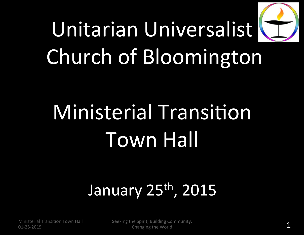# Unitarian'Universalist' Church of Bloomington

# Ministerial Transition Town'Hall'

### January 25<sup>th</sup>, 2015

Ministerial Transition Town Hall 01-25-2015

Seeking the Spirit, Building Community, Changing the World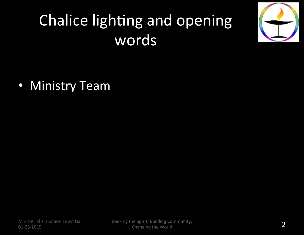### Chalice lighting and opening words'

• Ministry Team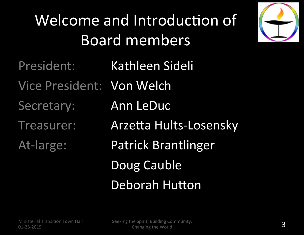### Welcome and Introduction of Board'members'



President: Kathleen Sideli Vice President: Von Welch Secretary: Ann LeDuc Treasurer: Arzetta Hults-Losensky At-large: Patrick Brantlinger Doug Cauble

Deborah Hutton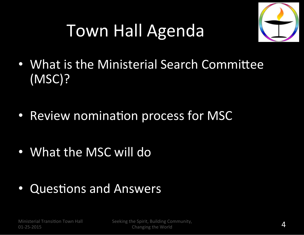## Town Hall Agenda



- What is the Ministerial Search Committee (MSC)?'
- Review nomination process for MSC
- What the MSC will do
- Questions and Answers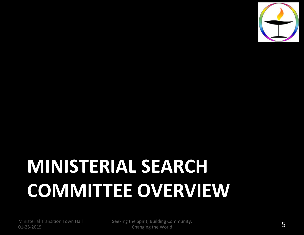

# **MINISTERIAL SEARCH COMMITTEE OVERVIEW**

Ministerial Transition Town Hall 01-25-2015

Seeking the Spirit, Building Community,  $S$ <br>Changing the World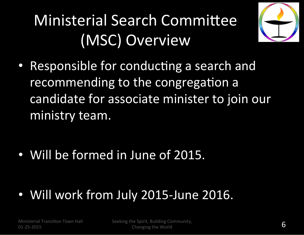### Ministerial Search Committee (MSC) Overview



• Responsible for conducting a search and recommending to the congregation a candidate for associate minister to join our ministry team.

• Will be formed in June of 2015.

• Will work from July 2015-June 2016.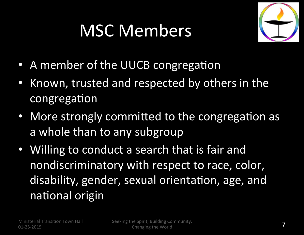## MSC Members



- A member of the UUCB congregation
- Known, trusted and respected by others in the congregation
- More strongly committed to the congregation as a whole than to any subgroup
- Willing to conduct a search that is fair and nondiscriminatory with respect to race, color, disability, gender, sexual orientation, age, and national origin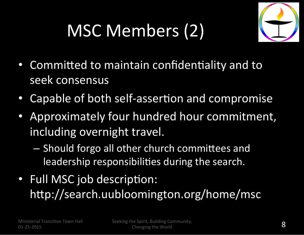## MSC Members (2)



- Committed to maintain confidentiality and to seek consensus
- Capable of both self-assertion and compromise
- Approximately four hundred hour commitment, including overnight travel.
	- Should forgo all other church committees and leadership responsibilities during the search.
- Full MSC job description: http://search.uubloomington.org/home/msc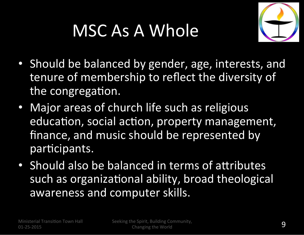### MSC As A Whole



- Should be balanced by gender, age, interests, and tenure of membership to reflect the diversity of the congregation.
- Major areas of church life such as religious education, social action, property management, finance, and music should be represented by participants.
- Should also be balanced in terms of attributes such as organizational ability, broad theological awareness and computer skills.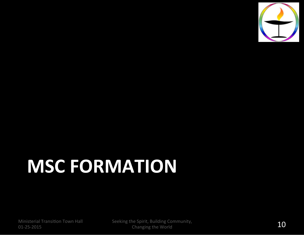

# **MSC FORMATION**

Ministerial Transition Town Hall 01-25-2015

Seeking the Spirit, Building Community,  $\frac{10}{10}$  Changing the World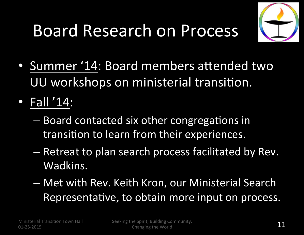### Board Research on Process



- Summer '14: Board members attended two UU workshops on ministerial transition.
- Fall '14:
	- Board contacted six other congregations in transition to learn from their experiences.
	- Retreat to plan search process facilitated by Rev. Wadkins.
	- $-$  Met with Rev. Keith Kron, our Ministerial Search Representative, to obtain more input on process.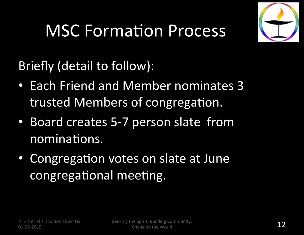

### **MSC Formation Process**

Briefly (detail to follow):

- Each Friend and Member nominates 3 trusted Members of congregation.
- Board creates 5-7 person slate from nominations.
- Congregation votes on slate at June congregational meeting.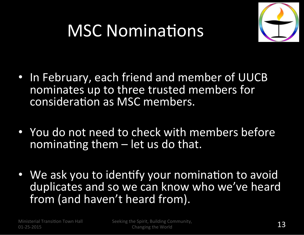### **MSC Nominations**



- In February, each friend and member of UUCB nominates up to three trusted members for consideration as MSC members.
- You do not need to check with members before nominating them  $-$  let us do that.
- We ask you to identify your nomination to avoid duplicates and so we can know who we've heard from (and haven't heard from).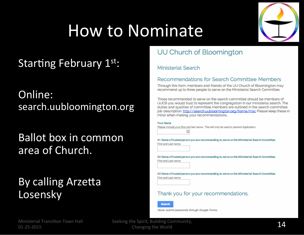### How to Nominate

### Starting February 1st:

Online: search.uubloomington.org

### Ballot box in common area of Church.

### By calling Arzetta Losensky



### UU Church of Bloomington

#### **Ministerial Search**

#### Recommendations for Search Committee Members

Through this form, members and friends of the UU Church of Bloomington may recommend up to three people to serve on the Ministerial Search Committee.

Those recommended to serve on the search committee should be members of UUCB you would trust to represent the congregation in our ministerial search. The duties and qualities of committee members are outlined in the search committee job description. http://search.uubloomington.org/home/msc Please keep these in mind when making your recommendations.

| Your Name |                                                                                         |
|-----------|-----------------------------------------------------------------------------------------|
|           | Please Include your first and last name. This will only be used to prevent duplication. |
| 国         |                                                                                         |

#1 Name of trusted person you are recommending to serve on the Ministerial Search Committee First and Last name

#2 Name of trusted person you are recommending to serve on the Ministerial Search Committee First and Last name

#3 Name of trusted person you are recommending to serve on the Ministerial Search Committee First and Last name

#### Thank you for your recommendations.

**Submit** 

Never submit passwords through Google Forms.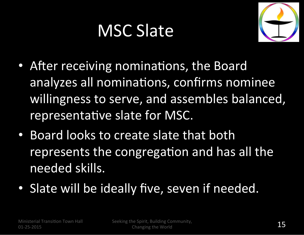### **MSC Slate**



- After receiving nominations, the Board analyzes all nominations, confirms nominee willingness to serve, and assembles balanced, representative slate for MSC.
- Board looks to create slate that both represents the congregation and has all the needed skills.
- Slate will be ideally five, seven if needed.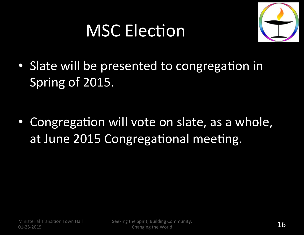### **MSC Election**



• Slate will be presented to congregation in Spring of 2015.

• Congregation will vote on slate, as a whole, at June 2015 Congregational meeting.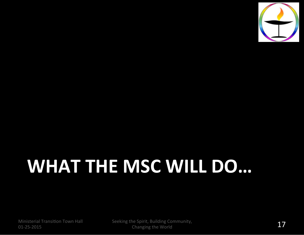

# WHAT THE MSC WILL DO...

Ministerial Transition Town Hall 01-25-2015

Seeking the Spirit, Building Community, The spirit, Bunding Community,  $17'$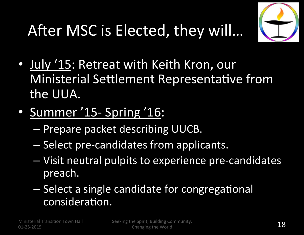### After MSC is Elected, they will...



- July '15: Retreat with Keith Kron, our Ministerial Settlement Representative from the UUA.
- Summer '15- Spring '16:
	- Prepare packet describing UUCB.
	- $-$  Select pre-candidates from applicants.
	- Visit neutral pulpits to experience pre-candidates preach.
	- Select a single candidate for congregational consideration.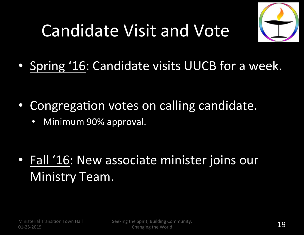## Candidate Visit and Vote



• Spring '16: Candidate visits UUCB for a week.

- Congregation votes on calling candidate.
	- Minimum 90% approval.

• Fall '16: New associate minister joins our Ministry Team.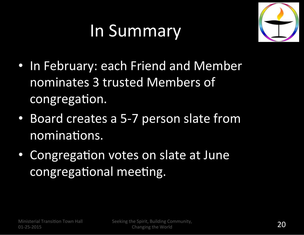### In Summary



- In February: each Friend and Member nominates 3 trusted Members of congregation.
- Board creates a 5-7 person slate from nominations.
- Congregation votes on slate at June congregational meeting.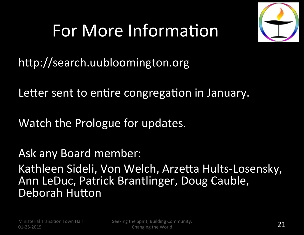### For More Information



http://search.uubloomington.org

Letter sent to entire congregation in January.

Watch the Prologue for updates.

Ask any Board member: Kathleen Sideli, Von Welch, Arzetta Hults-Losensky, Ann LeDuc, Patrick Brantlinger, Doug Cauble, Deborah Hutton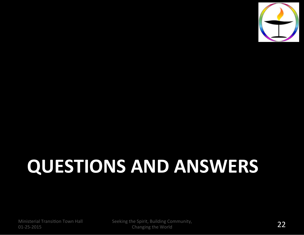

# **QUESTIONS AND ANSWERS**

Ministerial Transition Town Hall 01-25-2015

Seeking the Spirit, Building Community,  $\frac{1}{22}$ <br>Changing the World